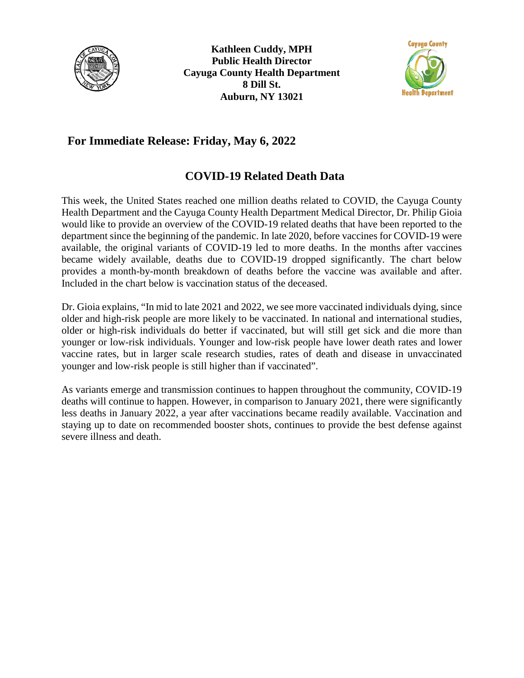



## **For Immediate Release: Friday, May 6, 2022**

## **COVID-19 Related Death Data**

This week, the United States reached one million deaths related to COVID, the Cayuga County Health Department and the Cayuga County Health Department Medical Director, Dr. Philip Gioia would like to provide an overview of the COVID-19 related deaths that have been reported to the department since the beginning of the pandemic. In late 2020, before vaccines for COVID-19 were available, the original variants of COVID-19 led to more deaths. In the months after vaccines became widely available, deaths due to COVID-19 dropped significantly. The chart below provides a month-by-month breakdown of deaths before the vaccine was available and after. Included in the chart below is vaccination status of the deceased.

Dr. Gioia explains, "In mid to late 2021 and 2022, we see more vaccinated individuals dying, since older and high-risk people are more likely to be vaccinated. In national and international studies, older or high-risk individuals do better if vaccinated, but will still get sick and die more than younger or low-risk individuals. Younger and low-risk people have lower death rates and lower vaccine rates, but in larger scale research studies, rates of death and disease in unvaccinated younger and low-risk people is still higher than if vaccinated".

As variants emerge and transmission continues to happen throughout the community, COVID-19 deaths will continue to happen. However, in comparison to January 2021, there were significantly less deaths in January 2022, a year after vaccinations became readily available. Vaccination and staying up to date on recommended booster shots, continues to provide the best defense against severe illness and death.